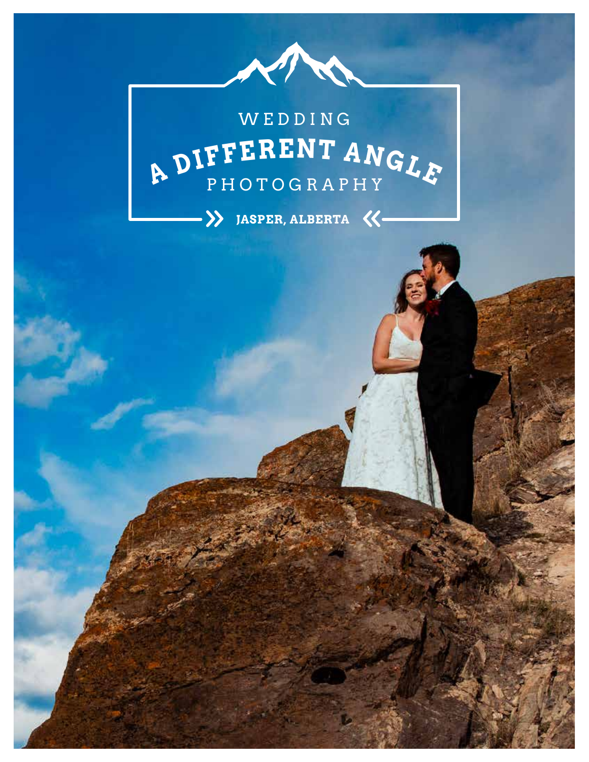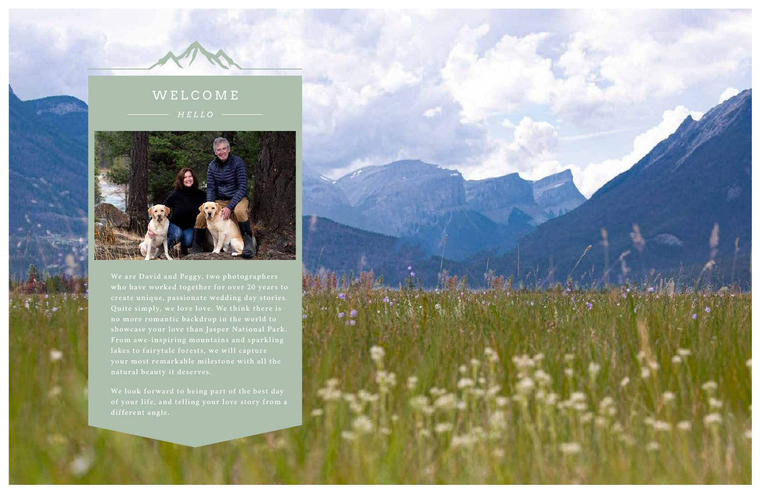# WELCOME

**We are David and Peggy, two photographers who have worked together for over 20 years to create unique, passionate wedding day stories. Quite simply, we love love. We think there is no more romantic backdrop in the world to showcase your love than Jasper National Park. From awe-inspiring mountains and sparkling lakes to fairytale forests, we will capture your most remarkable milestone with all the** 

**We look forward to being part of the best day of your life, and telling your love story from a different angle.**



*HELLO*

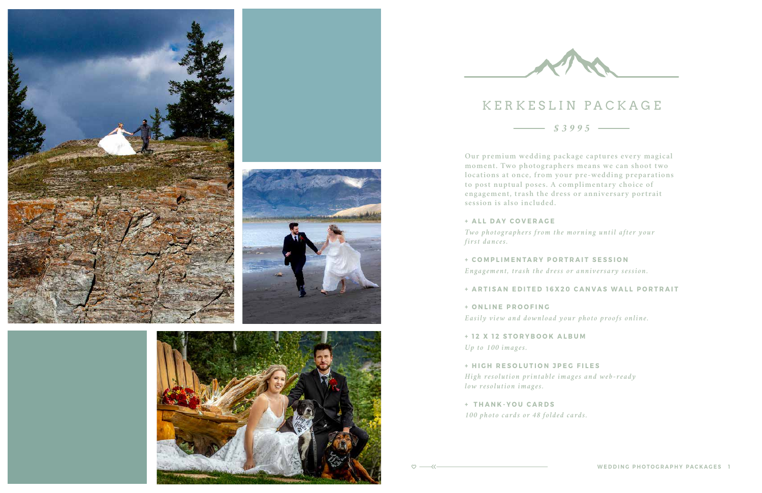## KERKESLIN PACKAGE







*\$3995*

**Our premium wedding package captures every magical moment. Two photographers means we can shoot two locations at once, from your pre-wedding preparations to post nuptual poses. A complimentary choice of engagement, trash the dress or anniversary portrait session is also included.**

**+ ALL DAY COVERAGE** *Two photographers from the morning until after your first dances.*

**+ COMPLIMENTARY PORTRAIT SESSION** *Engagement, trash the dress or anniversary session.*

## **+ ARTISAN EDITED 16X20 CANVAS WALL PORTRAIT**

**+ O N L I N E P R O O F I N G**  *Easily view and download your photo proofs online.*

**+ 12 X 12 STORYBOOK ALBUM** *Up to 100 images.*

**+ HIGH RESOLUTION JPEG FILES** *High resolution printable images and web-ready low resolution images.*

**+ THANK-YOU CARDS** *100 photo cards or 48 folded cards.*

 $\circ$   $-$ 

 $-\langle\langle$ 

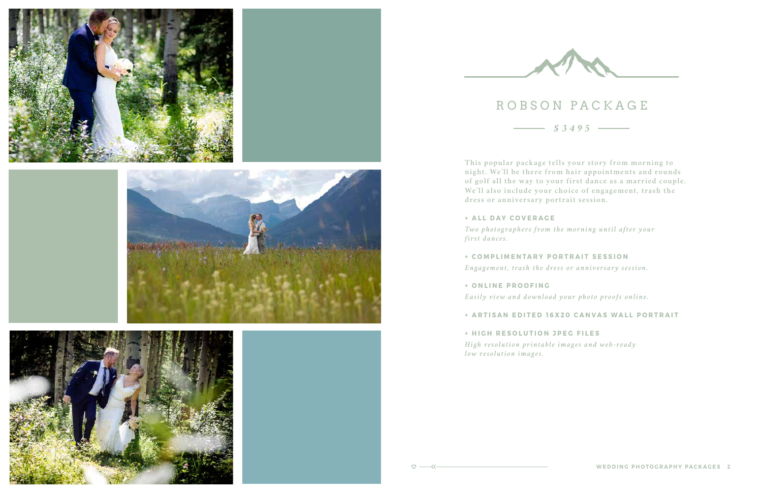







# ROBSON PACKAGE

*\$3495*

**This popular package tells your story from morning to night. We'll be there from hair appointments and rounds of golf all the way to your first dance as a married couple. We'll also include your choice of engagement, trash the dress or anniversary portrait session.**

**+ ALL DAY COVERAGE** *Two photographers from the morning until after your first dances.*

**+ COMPLIMENTARY PORTRAIT SESSION** *Engagement, trash the dress or anniversary session.*

**+ O N L I N E P R O O F I N G**  *Easily view and download your photo proofs online.*

## **+ ARTISAN EDITED 16X20 CANVAS WALL PORTRAIT**

**+ HIGH RESOLUTION JPEG FILES** *High resolution printable images and web-ready low resolution images.*

 $\circ$  -  $\leftarrow$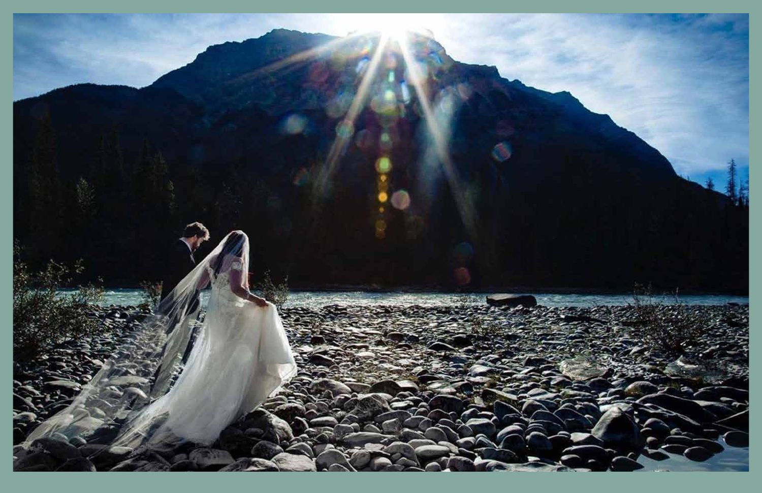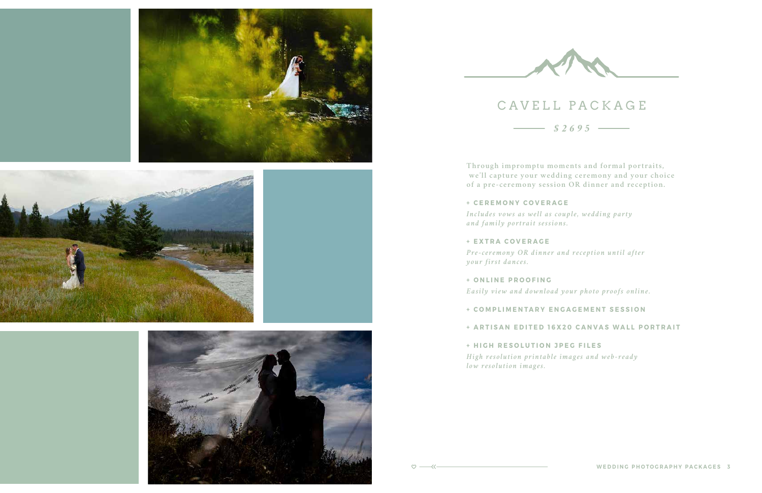







 $\sim$  \$2695 —

## CAVELL PACKAGE

**Through impromptu moments and formal portraits, we'll capture your wedding ceremony and your choice of a pre-ceremony session OR dinner and reception.**

**+ CEREMONY COVERAGE** *Includes vows as well as couple, wedding party and family portrait sessions.*

**+ EXTRA COVERAGE** *Pre-ceremony OR dinner and reception until after your first dances.*

**+ O N L I N E P R O O F I N G**  *Easily view and download your photo proofs online.*

**+ COMPLIMENTARY ENGAGEMENT SESSION**

**+ ARTISAN EDITED 16X20 CANVAS WALL PORTRAIT**

**+ HIGH RESOLUTION JPEG FILES** *High resolution printable images and web-ready low resolution images.*

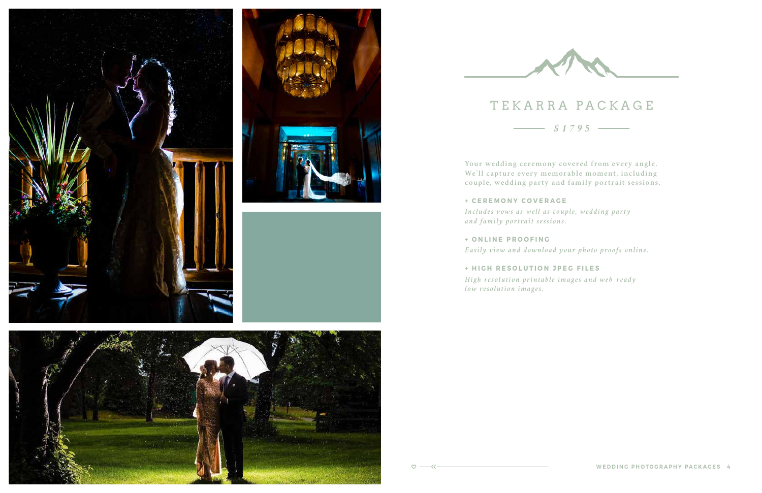## TEKARRA PACKAGE







*\$1795*

**Your wedding ceremony covered from every angle. We'll capture every memorable moment, including couple, wedding party and family portrait sessions.**

## **+ CEREMONY COVERAGE**

*Includes vows as well as couple, wedding party and family portrait sessions.*

**+ O N L I N E P R O O F I N G**  *Easily view and download your photo proofs online.*

**+ HIGH RESOLUTION JPEG FILES** *High resolution printable images and web-ready low resolution images.*

 $\circ$  - $\lt$  -

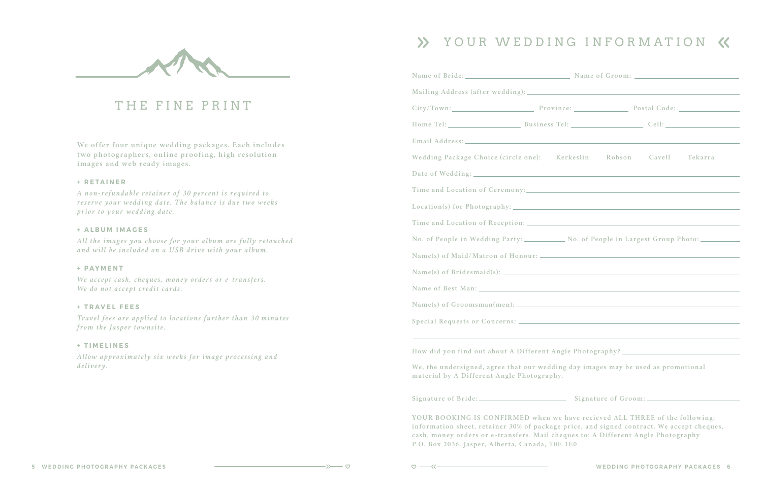**We offer four unique wedding packages. Each includes two photographers, online proofing, high resolution images and web ready images.**

## **+ RETAINER**

*A non-refundable retainer of 30 percent is required to reserve your wedding date. The balance is due two weeks prior to your wedding date.*

## **+ ALBUM IMAGES**

*All the images you choose for your album are fully retouched and will be included on a USB drive with your album.*

### **+ PAYMENT**

*We accept cash, cheques, money orders or e-transfers. We do not accept credit cards.*

### **+ TRAVEL FEES**

*Travel fees are applied to locations further than 30 minutes from the Jasper townsite.*

## **+ TIMELINES**

*Allow approximately six weeks for image processing and delivery.*

# X YOUR WEDDING INFORMATION **K**



## THE FINE PRINT

| Wedding Package Choice (circle one): Kerkeslin Robson Cavell Tekarra                                                                                                                                                                                                                                             |  |  |  |  |  |
|------------------------------------------------------------------------------------------------------------------------------------------------------------------------------------------------------------------------------------------------------------------------------------------------------------------|--|--|--|--|--|
|                                                                                                                                                                                                                                                                                                                  |  |  |  |  |  |
|                                                                                                                                                                                                                                                                                                                  |  |  |  |  |  |
|                                                                                                                                                                                                                                                                                                                  |  |  |  |  |  |
|                                                                                                                                                                                                                                                                                                                  |  |  |  |  |  |
| No. of People in Wedding Party: ____________ No. of People in Largest Group Photo: _________                                                                                                                                                                                                                     |  |  |  |  |  |
|                                                                                                                                                                                                                                                                                                                  |  |  |  |  |  |
|                                                                                                                                                                                                                                                                                                                  |  |  |  |  |  |
|                                                                                                                                                                                                                                                                                                                  |  |  |  |  |  |
|                                                                                                                                                                                                                                                                                                                  |  |  |  |  |  |
|                                                                                                                                                                                                                                                                                                                  |  |  |  |  |  |
| ,我们也不能在这里的时候,我们也不能在这里的时候,我们也不能会在这里的时候,我们也不能会在这里的时候,我们也不能会在这里的时候,我们也不能会在这里的时候,我们也不<br>How did you find out about A Different Angle Photography? ___                                                                                                                                                               |  |  |  |  |  |
| We, the undersigned, agree that our wedding day images may be used as promotional<br>material by A Different Angle Photography.                                                                                                                                                                                  |  |  |  |  |  |
|                                                                                                                                                                                                                                                                                                                  |  |  |  |  |  |
| YOUR BOOKING IS CONFIRMED when we have recieved ALL THREE of the following:<br>information sheet, retainer 30% of package price, and signed contract. We accept cheques,<br>cash, money orders or e-transfers. Mail cheques to: A Different Angle Photography<br>P.O. Box 2036, Jasper, Alberta, Canada, T0E 1E0 |  |  |  |  |  |